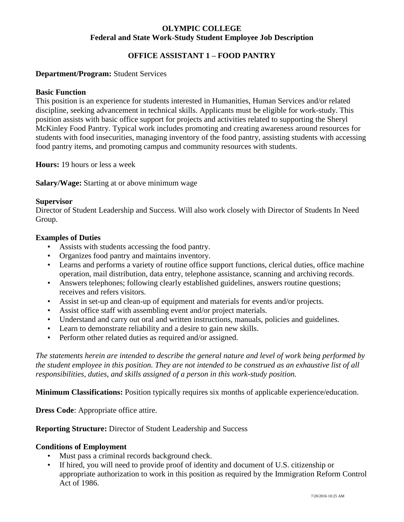## **OLYMPIC COLLEGE Federal and State Work-Study Student Employee Job Description**

## **OFFICE ASSISTANT 1 – FOOD PANTRY**

## **Department/Program:** Student Services

### **Basic Function**

This position is an experience for students interested in Humanities, Human Services and/or related discipline, seeking advancement in technical skills. Applicants must be eligible for work-study. This position assists with basic office support for projects and activities related to supporting the Sheryl McKinley Food Pantry. Typical work includes promoting and creating awareness around resources for students with food insecurities, managing inventory of the food pantry, assisting students with accessing food pantry items, and promoting campus and community resources with students.

**Hours:** 19 hours or less a week

**Salary/Wage:** Starting at or above minimum wage

## **Supervisor**

Director of Student Leadership and Success. Will also work closely with Director of Students In Need Group.

#### **Examples of Duties**

- Assists with students accessing the food pantry.
- Organizes food pantry and maintains inventory.
- Learns and performs a variety of routine office support functions, clerical duties, office machine operation, mail distribution, data entry, telephone assistance, scanning and archiving records.
- Answers telephones; following clearly established guidelines, answers routine questions; receives and refers visitors.
- Assist in set-up and clean-up of equipment and materials for events and/or projects.
- Assist office staff with assembling event and/or project materials.
- Understand and carry out oral and written instructions, manuals, policies and guidelines.
- Learn to demonstrate reliability and a desire to gain new skills.
- Perform other related duties as required and/or assigned.

*The statements herein are intended to describe the general nature and level of work being performed by the student employee in this position. They are not intended to be construed as an exhaustive list of all responsibilities, duties, and skills assigned of a person in this work-study position.*

**Minimum Classifications:** Position typically requires six months of applicable experience/education.

**Dress Code:** Appropriate office attire.

#### **Reporting Structure:** Director of Student Leadership and Success

#### **Conditions of Employment**

- Must pass a criminal records background check.
- If hired, you will need to provide proof of identity and document of U.S. citizenship or appropriate authorization to work in this position as required by the Immigration Reform Control Act of 1986.